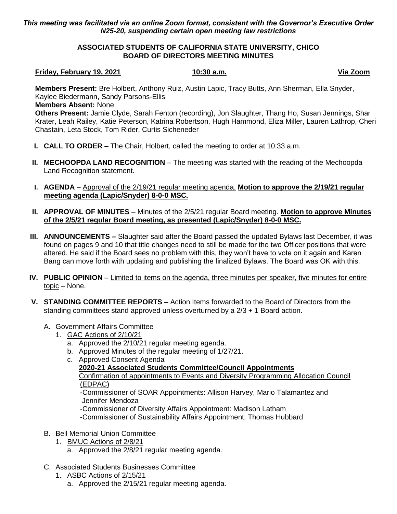## *This meeting was facilitated via an online Zoom format, consistent with the Governor's Executive Order N25-20, suspending certain open meeting law restrictions*

## **ASSOCIATED STUDENTS OF CALIFORNIA STATE UNIVERSITY, CHICO BOARD OF DIRECTORS MEETING MINUTES**

#### **Friday, February 19, 2021 10:30 a.m. Via Zoom**

**Members Present:** Bre Holbert, Anthony Ruiz, Austin Lapic, Tracy Butts, Ann Sherman, Ella Snyder, Kaylee Biedermann, Sandy Parsons-Ellis

### **Members Absent:** None

**Others Present:** Jamie Clyde, Sarah Fenton (recording), Jon Slaughter, Thang Ho, Susan Jennings, Shar Krater, Leah Railey, Katie Peterson, Katrina Robertson, Hugh Hammond, Eliza Miller, Lauren Lathrop, Cheri Chastain, Leta Stock, Tom Rider, Curtis Sicheneder

- **I. CALL TO ORDER** The Chair, Holbert, called the meeting to order at 10:33 a.m.
- **II. MECHOOPDA LAND RECOGNITION** The meeting was started with the reading of the Mechoopda Land Recognition statement.
- **I. AGENDA** Approval of the 2/19/21 regular meeting agenda. **Motion to approve the 2/19/21 regular meeting agenda (Lapic/Snyder) 8-0-0 MSC.**
- **II. APPROVAL OF MINUTES** Minutes of the 2/5/21 regular Board meeting. **Motion to approve Minutes of the 2/5/21 regular Board meeting, as presented (Lapic/Snyder) 8-0-0 MSC.**
- **III. ANNOUNCEMENTS –** Slaughter said after the Board passed the updated Bylaws last December, it was found on pages 9 and 10 that title changes need to still be made for the two Officer positions that were altered. He said if the Board sees no problem with this, they won't have to vote on it again and Karen Bang can move forth with updating and publishing the finalized Bylaws. The Board was OK with this.
- **IV. PUBLIC OPINION** Limited to items on the agenda, three minutes per speaker, five minutes for entire topic – None.
- **V. STANDING COMMITTEE REPORTS –** Action Items forwarded to the Board of Directors from the standing committees stand approved unless overturned by a 2/3 + 1 Board action.

# A. Government Affairs Committee

- 1. GAC Actions of 2/10/21
	- a. Approved the 2/10/21 regular meeting agenda.
	- b. Approved Minutes of the regular meeting of 1/27/21.
	- c. Approved Consent Agenda **2020-21 Associated Students Committee/Council Appointments** Confirmation of appointments to Events and Diversity Programming Allocation Council (EDPAC) -Commissioner of SOAR Appointments: Allison Harvey, Mario Talamantez and Jennifer Mendoza -Commissioner of Diversity Affairs Appointment: Madison Latham -Commissioner of Sustainability Affairs Appointment: Thomas Hubbard

# B. Bell Memorial Union Committee

- 1. BMUC Actions of 2/8/21
	- a. Approved the 2/8/21 regular meeting agenda.
- C. Associated Students Businesses Committee
	- 1. ASBC Actions of 2/15/21
		- a. Approved the 2/15/21 regular meeting agenda.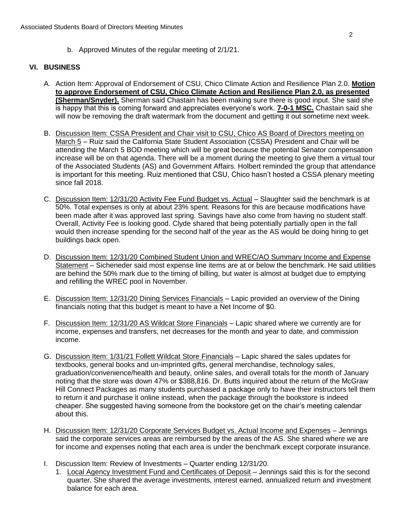b. Approved Minutes of the regular meeting of 2/1/21.

### **VI. BUSINESS**

- A. Action Item: Approval of Endorsement of CSU, Chico Climate Action and Resilience Plan 2.0. **Motion to approve Endorsement of CSU, Chico Climate Action and Resilience Plan 2.0, as presented (Sherman/Snyder).** Sherman said Chastain has been making sure there is good input. She said she is happy that this is coming forward and appreciates everyone's work. **7-0-1 MSC.** Chastain said she will now be removing the draft watermark from the document and getting it out sometime next week.
- B. Discussion Item: CSSA President and Chair visit to CSU, Chico AS Board of Directors meeting on March 5 – Ruiz said the California State Student Association (CSSA) President and Chair will be attending the March 5 BOD meeting which will be great because the potential Senator compensation increase will be on that agenda. There will be a moment during the meeting to give them a virtual tour of the Associated Students (AS) and Government Affairs. Holbert reminded the group that attendance is important for this meeting. Ruiz mentioned that CSU, Chico hasn't hosted a CSSA plenary meeting since fall 2018.
- C. Discussion Item: 12/31/20 Activity Fee Fund Budget vs. Actual Slaughter said the benchmark is at 50%. Total expenses is only at about 23% spent. Reasons for this are because modifications have been made after it was approved last spring. Savings have also come from having no student staff. Overall, Activity Fee is looking good. Clyde shared that being potentially partially open in the fall would then increase spending for the second half of the year as the AS would be doing hiring to get buildings back open.
- D. Discussion Item: 12/31/20 Combined Student Union and WREC/AO Summary Income and Expense Statement – Sicheneder said most expense line items are at or below the benchmark. He said utilities are behind the 50% mark due to the timing of billing, but water is almost at budget due to emptying and refilling the WREC pool in November.
- E. Discussion Item: 12/31/20 Dining Services Financials Lapic provided an overview of the Dining financials noting that this budget is meant to have a Net Income of \$0.
- F. Discussion Item: 12/31/20 AS Wildcat Store Financials Lapic shared where we currently are for income, expenses and transfers, net decreases for the month and year to date, and commission income.
- G. Discussion Item: 1/31/21 Follett Wildcat Store Financials Lapic shared the sales updates for textbooks, general books and un-imprinted gifts, general merchandise, technology sales, graduation/convenience/health and beauty, online sales, and overall totals for the month of January noting that the store was down 47% or \$388,816. Dr. Butts inquired about the return of the McGraw Hill Connect Packages as many students purchased a package only to have their instructors tell them to return it and purchase it online instead, when the package through the bookstore is indeed cheaper. She suggested having someone from the bookstore get on the chair's meeting calendar about this.
- H. Discussion Item: 12/31/20 Corporate Services Budget vs. Actual Income and Expenses Jennings said the corporate services areas are reimbursed by the areas of the AS. She shared where we are for income and expenses noting that each area is under the benchmark except corporate insurance.
- I. Discussion Item: Review of Investments Quarter ending 12/31/20.
	- 1. Local Agency Investment Fund and Certificates of Deposit Jennings said this is for the second quarter. She shared the average investments, interest earned, annualized return and investment balance for each area.